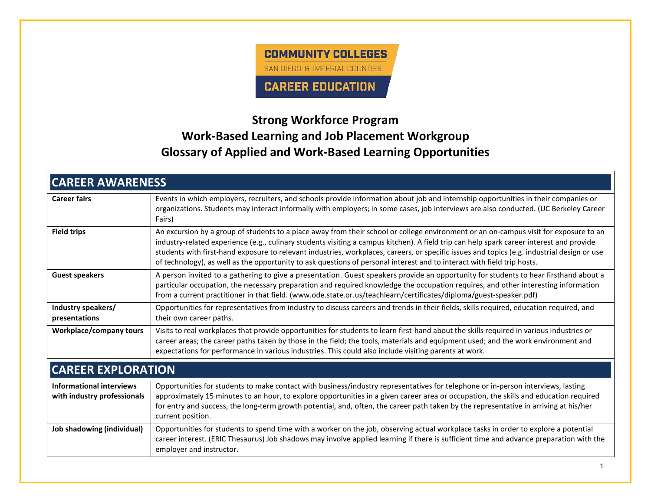

## **Strong Workforce Program Work-Based Learning and Job Placement Workgroup Glossary of Applied and Work-Based Learning Opportunities**

| <b>CAREER AWARENESS</b>                                        |                                                                                                                                                                                                                                                                                                                                                                                                                                                                                                                                                             |  |
|----------------------------------------------------------------|-------------------------------------------------------------------------------------------------------------------------------------------------------------------------------------------------------------------------------------------------------------------------------------------------------------------------------------------------------------------------------------------------------------------------------------------------------------------------------------------------------------------------------------------------------------|--|
| <b>Career fairs</b>                                            | Events in which employers, recruiters, and schools provide information about job and internship opportunities in their companies or<br>organizations. Students may interact informally with employers; in some cases, job interviews are also conducted. (UC Berkeley Career<br>Fairs)                                                                                                                                                                                                                                                                      |  |
| <b>Field trips</b>                                             | An excursion by a group of students to a place away from their school or college environment or an on-campus visit for exposure to an<br>industry-related experience (e.g., culinary students visiting a campus kitchen). A field trip can help spark career interest and provide<br>students with first-hand exposure to relevant industries, workplaces, careers, or specific issues and topics (e.g. industrial design or use<br>of technology), as well as the opportunity to ask questions of personal interest and to interact with field trip hosts. |  |
| <b>Guest speakers</b>                                          | A person invited to a gathering to give a presentation. Guest speakers provide an opportunity for students to hear firsthand about a<br>particular occupation, the necessary preparation and required knowledge the occupation requires, and other interesting information<br>from a current practitioner in that field. (www.ode.state.or.us/teachlearn/certificates/diploma/guest-speaker.pdf)                                                                                                                                                            |  |
| Industry speakers/<br>presentations                            | Opportunities for representatives from industry to discuss careers and trends in their fields, skills required, education required, and<br>their own career paths.                                                                                                                                                                                                                                                                                                                                                                                          |  |
| <b>Workplace/company tours</b>                                 | Visits to real workplaces that provide opportunities for students to learn first-hand about the skills required in various industries or<br>career areas; the career paths taken by those in the field; the tools, materials and equipment used; and the work environment and<br>expectations for performance in various industries. This could also include visiting parents at work.                                                                                                                                                                      |  |
| <b>CAREER EXPLORATION</b>                                      |                                                                                                                                                                                                                                                                                                                                                                                                                                                                                                                                                             |  |
| <b>Informational interviews</b><br>with industry professionals | Opportunities for students to make contact with business/industry representatives for telephone or in-person interviews, lasting<br>approximately 15 minutes to an hour, to explore opportunities in a given career area or occupation, the skills and education required<br>for entry and success, the long-term growth potential, and, often, the career path taken by the representative in arriving at his/her<br>current position.                                                                                                                     |  |
| Job shadowing (individual)                                     | Opportunities for students to spend time with a worker on the job, observing actual workplace tasks in order to explore a potential<br>career interest. (ERIC Thesaurus) Job shadows may involve applied learning if there is sufficient time and advance preparation with the<br>employer and instructor.                                                                                                                                                                                                                                                  |  |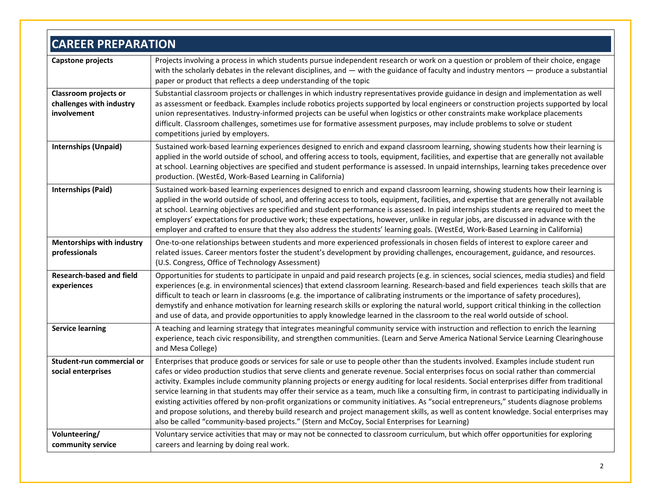| <b>CAREER PREPARATION</b>                                               |                                                                                                                                                                                                                                                                                                                                                                                                                                                                                                                                                                                                                                                                                                                                                                                                                                                                                                                                                                 |  |
|-------------------------------------------------------------------------|-----------------------------------------------------------------------------------------------------------------------------------------------------------------------------------------------------------------------------------------------------------------------------------------------------------------------------------------------------------------------------------------------------------------------------------------------------------------------------------------------------------------------------------------------------------------------------------------------------------------------------------------------------------------------------------------------------------------------------------------------------------------------------------------------------------------------------------------------------------------------------------------------------------------------------------------------------------------|--|
| Capstone projects                                                       | Projects involving a process in which students pursue independent research or work on a question or problem of their choice, engage<br>with the scholarly debates in the relevant disciplines, and $-$ with the guidance of faculty and industry mentors $-$ produce a substantial<br>paper or product that reflects a deep understanding of the topic                                                                                                                                                                                                                                                                                                                                                                                                                                                                                                                                                                                                          |  |
| <b>Classroom projects or</b><br>challenges with industry<br>involvement | Substantial classroom projects or challenges in which industry representatives provide guidance in design and implementation as well<br>as assessment or feedback. Examples include robotics projects supported by local engineers or construction projects supported by local<br>union representatives. Industry-informed projects can be useful when logistics or other constraints make workplace placements<br>difficult. Classroom challenges, sometimes use for formative assessment purposes, may include problems to solve or student<br>competitions juried by employers.                                                                                                                                                                                                                                                                                                                                                                              |  |
| <b>Internships (Unpaid)</b>                                             | Sustained work-based learning experiences designed to enrich and expand classroom learning, showing students how their learning is<br>applied in the world outside of school, and offering access to tools, equipment, facilities, and expertise that are generally not available<br>at school. Learning objectives are specified and student performance is assessed. In unpaid internships, learning takes precedence over<br>production. (WestEd, Work-Based Learning in California)                                                                                                                                                                                                                                                                                                                                                                                                                                                                         |  |
| <b>Internships (Paid)</b>                                               | Sustained work-based learning experiences designed to enrich and expand classroom learning, showing students how their learning is<br>applied in the world outside of school, and offering access to tools, equipment, facilities, and expertise that are generally not available<br>at school. Learning objectives are specified and student performance is assessed. In paid internships students are required to meet the<br>employers' expectations for productive work; these expectations, however, unlike in regular jobs, are discussed in advance with the<br>employer and crafted to ensure that they also address the students' learning goals. (WestEd, Work-Based Learning in California)                                                                                                                                                                                                                                                          |  |
| <b>Mentorships with industry</b><br>professionals                       | One-to-one relationships between students and more experienced professionals in chosen fields of interest to explore career and<br>related issues. Career mentors foster the student's development by providing challenges, encouragement, guidance, and resources.<br>(U.S. Congress, Office of Technology Assessment)                                                                                                                                                                                                                                                                                                                                                                                                                                                                                                                                                                                                                                         |  |
| <b>Research-based and field</b><br>experiences                          | Opportunities for students to participate in unpaid and paid research projects (e.g. in sciences, social sciences, media studies) and field<br>experiences (e.g. in environmental sciences) that extend classroom learning. Research-based and field experiences teach skills that are<br>difficult to teach or learn in classrooms (e.g. the importance of calibrating instruments or the importance of safety procedures),<br>demystify and enhance motivation for learning research skills or exploring the natural world, support critical thinking in the collection<br>and use of data, and provide opportunities to apply knowledge learned in the classroom to the real world outside of school.                                                                                                                                                                                                                                                        |  |
| <b>Service learning</b>                                                 | A teaching and learning strategy that integrates meaningful community service with instruction and reflection to enrich the learning<br>experience, teach civic responsibility, and strengthen communities. (Learn and Serve America National Service Learning Clearinghouse<br>and Mesa College)                                                                                                                                                                                                                                                                                                                                                                                                                                                                                                                                                                                                                                                               |  |
| Student-run commercial or<br>social enterprises                         | Enterprises that produce goods or services for sale or use to people other than the students involved. Examples include student run<br>cafes or video production studios that serve clients and generate revenue. Social enterprises focus on social rather than commercial<br>activity. Examples include community planning projects or energy auditing for local residents. Social enterprises differ from traditional<br>service learning in that students may offer their service as a team, much like a consulting firm, in contrast to participating individually in<br>existing activities offered by non-profit organizations or community initiatives. As "social entrepreneurs," students diagnose problems<br>and propose solutions, and thereby build research and project management skills, as well as content knowledge. Social enterprises may<br>also be called "community-based projects." (Stern and McCoy, Social Enterprises for Learning) |  |
| Volunteering/<br>community service                                      | Voluntary service activities that may or may not be connected to classroom curriculum, but which offer opportunities for exploring<br>careers and learning by doing real work.                                                                                                                                                                                                                                                                                                                                                                                                                                                                                                                                                                                                                                                                                                                                                                                  |  |